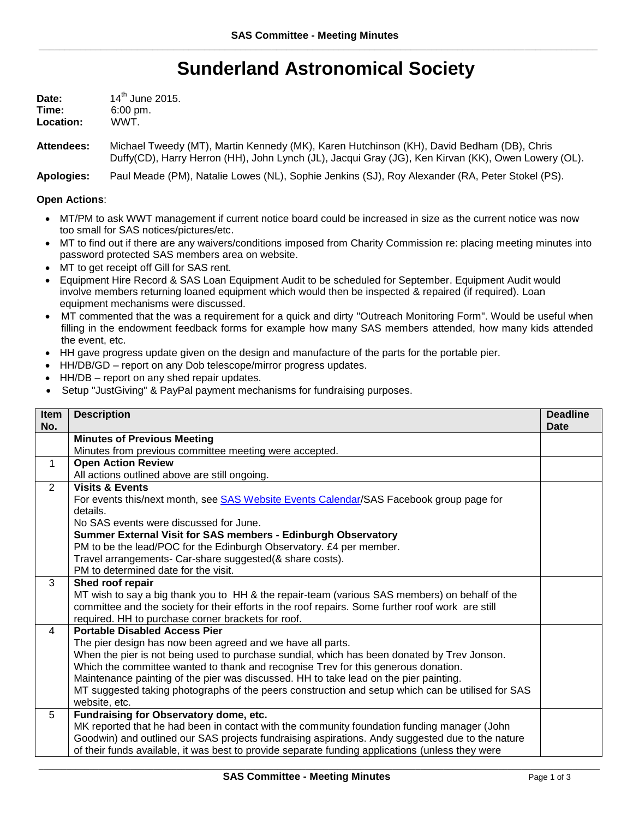## **Sunderland Astronomical Society**

| Date:     | 14 <sup>th</sup> June 2015. |
|-----------|-----------------------------|
| Time:     | $6:00 \text{ pm}$ .         |
| Location: | WWT.                        |

**Attendees:** Michael Tweedy (MT), Martin Kennedy (MK), Karen Hutchinson (KH), David Bedham (DB), Chris Duffy(CD), Harry Herron (HH), John Lynch (JL), Jacqui Gray (JG), Ken Kirvan (KK), Owen Lowery (OL).

**Apologies:** Paul Meade (PM), Natalie Lowes (NL), Sophie Jenkins (SJ), Roy Alexander (RA, Peter Stokel (PS).

## **Open Actions**:

- MT/PM to ask WWT management if current notice board could be increased in size as the current notice was now too small for SAS notices/pictures/etc.
- MT to find out if there are any waivers/conditions imposed from Charity Commission re: placing meeting minutes into password protected SAS members area on website.
- MT to get receipt off Gill for SAS rent.
- Equipment Hire Record & SAS Loan Equipment Audit to be scheduled for September. Equipment Audit would involve members returning loaned equipment which would then be inspected & repaired (if required). Loan equipment mechanisms were discussed.
- MT commented that the was a requirement for a quick and dirty "Outreach Monitoring Form". Would be useful when filling in the endowment feedback forms for example how many SAS members attended, how many kids attended the event, etc.
- HH gave progress update given on the design and manufacture of the parts for the portable pier.
- HH/DB/GD report on any Dob telescope/mirror progress updates.
- HH/DB report on any shed repair updates.
- Setup "JustGiving" & PayPal payment mechanisms for fundraising purposes.

| Item                                                                                              | <b>Deadline</b> |
|---------------------------------------------------------------------------------------------------|-----------------|
| <b>Description</b><br>No.                                                                         | Date            |
| <b>Minutes of Previous Meeting</b>                                                                |                 |
| Minutes from previous committee meeting were accepted.                                            |                 |
| <b>Open Action Review</b><br>$\mathbf{1}$                                                         |                 |
| All actions outlined above are still ongoing.                                                     |                 |
| $\overline{2}$<br><b>Visits &amp; Events</b>                                                      |                 |
| For events this/next month, see SAS Website Events Calendar/SAS Facebook group page for           |                 |
| details.                                                                                          |                 |
| No SAS events were discussed for June.                                                            |                 |
| Summer External Visit for SAS members - Edinburgh Observatory                                     |                 |
| PM to be the lead/POC for the Edinburgh Observatory. £4 per member.                               |                 |
| Travel arrangements- Car-share suggested(& share costs).                                          |                 |
| PM to determined date for the visit.                                                              |                 |
| 3<br>Shed roof repair                                                                             |                 |
| MT wish to say a big thank you to HH & the repair-team (various SAS members) on behalf of the     |                 |
| committee and the society for their efforts in the roof repairs. Some further roof work are still |                 |
| required. HH to purchase corner brackets for roof.<br><b>Portable Disabled Access Pier</b>        |                 |
| 4<br>The pier design has now been agreed and we have all parts.                                   |                 |
| When the pier is not being used to purchase sundial, which has been donated by Trev Jonson.       |                 |
| Which the committee wanted to thank and recognise Trev for this generous donation.                |                 |
| Maintenance painting of the pier was discussed. HH to take lead on the pier painting.             |                 |
| MT suggested taking photographs of the peers construction and setup which can be utilised for SAS |                 |
| website, etc.                                                                                     |                 |
| Fundraising for Observatory dome, etc.<br>5                                                       |                 |
| MK reported that he had been in contact with the community foundation funding manager (John       |                 |
| Goodwin) and outlined our SAS projects fundraising aspirations. Andy suggested due to the nature  |                 |
| of their funds available, it was best to provide separate funding applications (unless they were  |                 |

\_\_\_\_\_\_\_\_\_\_\_\_\_\_\_\_\_\_\_\_\_\_\_\_\_\_\_\_\_\_\_\_\_\_\_\_\_\_\_\_\_\_\_\_\_\_\_\_\_\_\_\_\_\_\_\_\_\_\_\_\_\_\_\_\_\_\_\_\_\_\_\_\_\_\_\_\_\_\_\_\_\_\_\_\_\_\_\_\_\_\_\_\_\_\_\_\_\_\_\_\_\_\_\_\_\_\_\_\_\_\_\_\_\_\_\_\_\_\_\_\_\_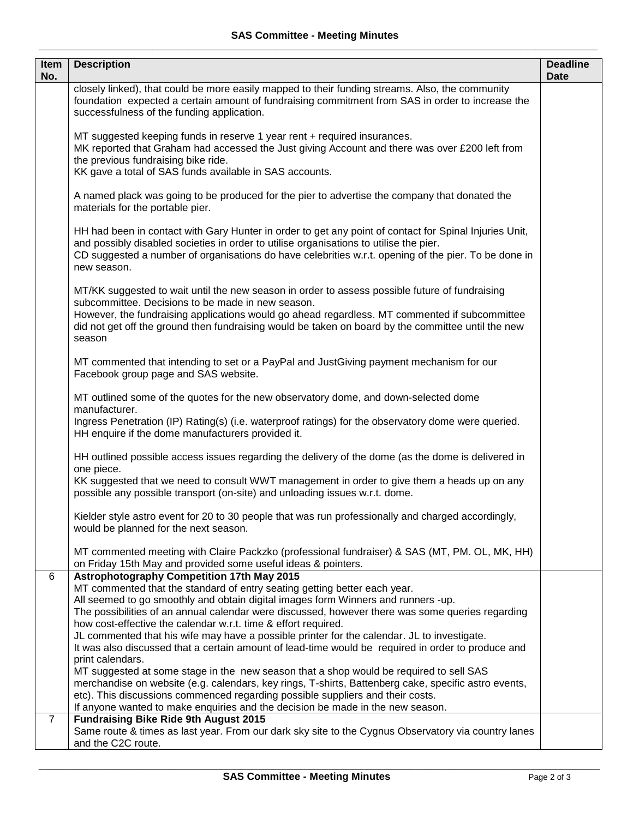| Item<br>No.    | <b>Description</b>                                                                                                                                                                                                                                                                                                                                                                                                                                                                                                                                                                                                                                                                                                                                                                                                                                                                                                                                                                       | <b>Deadline</b><br><b>Date</b> |
|----------------|------------------------------------------------------------------------------------------------------------------------------------------------------------------------------------------------------------------------------------------------------------------------------------------------------------------------------------------------------------------------------------------------------------------------------------------------------------------------------------------------------------------------------------------------------------------------------------------------------------------------------------------------------------------------------------------------------------------------------------------------------------------------------------------------------------------------------------------------------------------------------------------------------------------------------------------------------------------------------------------|--------------------------------|
|                | closely linked), that could be more easily mapped to their funding streams. Also, the community<br>foundation expected a certain amount of fundraising commitment from SAS in order to increase the<br>successfulness of the funding application.                                                                                                                                                                                                                                                                                                                                                                                                                                                                                                                                                                                                                                                                                                                                        |                                |
|                | MT suggested keeping funds in reserve 1 year rent + required insurances.<br>MK reported that Graham had accessed the Just giving Account and there was over £200 left from<br>the previous fundraising bike ride.<br>KK gave a total of SAS funds available in SAS accounts.                                                                                                                                                                                                                                                                                                                                                                                                                                                                                                                                                                                                                                                                                                             |                                |
|                | A named plack was going to be produced for the pier to advertise the company that donated the<br>materials for the portable pier.                                                                                                                                                                                                                                                                                                                                                                                                                                                                                                                                                                                                                                                                                                                                                                                                                                                        |                                |
|                | HH had been in contact with Gary Hunter in order to get any point of contact for Spinal Injuries Unit,<br>and possibly disabled societies in order to utilise organisations to utilise the pier.<br>CD suggested a number of organisations do have celebrities w.r.t. opening of the pier. To be done in<br>new season.                                                                                                                                                                                                                                                                                                                                                                                                                                                                                                                                                                                                                                                                  |                                |
|                | MT/KK suggested to wait until the new season in order to assess possible future of fundraising<br>subcommittee. Decisions to be made in new season.<br>However, the fundraising applications would go ahead regardless. MT commented if subcommittee<br>did not get off the ground then fundraising would be taken on board by the committee until the new<br>season                                                                                                                                                                                                                                                                                                                                                                                                                                                                                                                                                                                                                     |                                |
|                | MT commented that intending to set or a PayPal and JustGiving payment mechanism for our<br>Facebook group page and SAS website.                                                                                                                                                                                                                                                                                                                                                                                                                                                                                                                                                                                                                                                                                                                                                                                                                                                          |                                |
|                | MT outlined some of the quotes for the new observatory dome, and down-selected dome<br>manufacturer.<br>Ingress Penetration (IP) Rating(s) (i.e. waterproof ratings) for the observatory dome were queried.<br>HH enquire if the dome manufacturers provided it.                                                                                                                                                                                                                                                                                                                                                                                                                                                                                                                                                                                                                                                                                                                         |                                |
|                | HH outlined possible access issues regarding the delivery of the dome (as the dome is delivered in<br>one piece.                                                                                                                                                                                                                                                                                                                                                                                                                                                                                                                                                                                                                                                                                                                                                                                                                                                                         |                                |
|                | KK suggested that we need to consult WWT management in order to give them a heads up on any<br>possible any possible transport (on-site) and unloading issues w.r.t. dome.                                                                                                                                                                                                                                                                                                                                                                                                                                                                                                                                                                                                                                                                                                                                                                                                               |                                |
|                | Kielder style astro event for 20 to 30 people that was run professionally and charged accordingly,<br>would be planned for the next season.                                                                                                                                                                                                                                                                                                                                                                                                                                                                                                                                                                                                                                                                                                                                                                                                                                              |                                |
|                | MT commented meeting with Claire Packzko (professional fundraiser) & SAS (MT, PM. OL, MK, HH)<br>on Friday 15th May and provided some useful ideas & pointers.                                                                                                                                                                                                                                                                                                                                                                                                                                                                                                                                                                                                                                                                                                                                                                                                                           |                                |
| 6              | <b>Astrophotography Competition 17th May 2015</b><br>MT commented that the standard of entry seating getting better each year.<br>All seemed to go smoothly and obtain digital images form Winners and runners -up.<br>The possibilities of an annual calendar were discussed, however there was some queries regarding<br>how cost-effective the calendar w.r.t. time & effort required.<br>JL commented that his wife may have a possible printer for the calendar. JL to investigate.<br>It was also discussed that a certain amount of lead-time would be required in order to produce and<br>print calendars.<br>MT suggested at some stage in the new season that a shop would be required to sell SAS<br>merchandise on website (e.g. calendars, key rings, T-shirts, Battenberg cake, specific astro events,<br>etc). This discussions commenced regarding possible suppliers and their costs.<br>If anyone wanted to make enquiries and the decision be made in the new season. |                                |
| $\overline{7}$ | <b>Fundraising Bike Ride 9th August 2015</b><br>Same route & times as last year. From our dark sky site to the Cygnus Observatory via country lanes<br>and the C2C route.                                                                                                                                                                                                                                                                                                                                                                                                                                                                                                                                                                                                                                                                                                                                                                                                                |                                |

\_\_\_\_\_\_\_\_\_\_\_\_\_\_\_\_\_\_\_\_\_\_\_\_\_\_\_\_\_\_\_\_\_\_\_\_\_\_\_\_\_\_\_\_\_\_\_\_\_\_\_\_\_\_\_\_\_\_\_\_\_\_\_\_\_\_\_\_\_\_\_\_\_\_\_\_\_\_\_\_\_\_\_\_\_\_\_\_\_\_\_\_\_\_\_\_\_\_\_\_\_\_\_\_\_\_\_\_\_\_\_\_\_\_\_\_\_\_\_\_\_\_